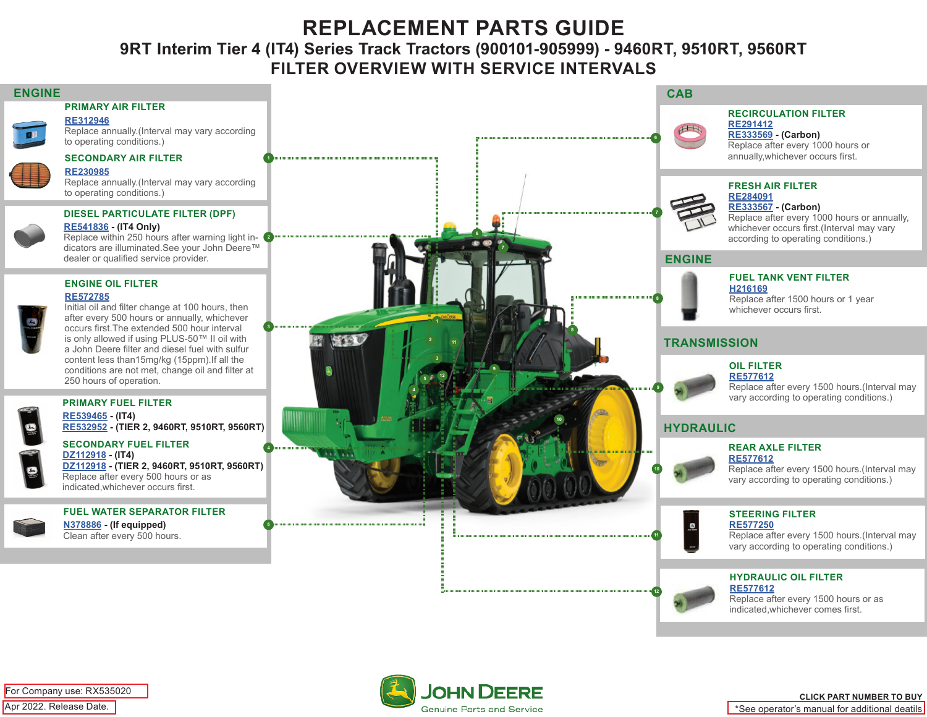# **REPLACEMENT PARTS GUIDE**

**9RT Interim Tier 4 (IT4) Series Track Tractors (900101-905999) - 9460RT, 9510RT, 9560RT FILTER OVERVIEW WITH SERVICE INTERVALS**



Apr 2022. Release Date. For Company use: RX535020

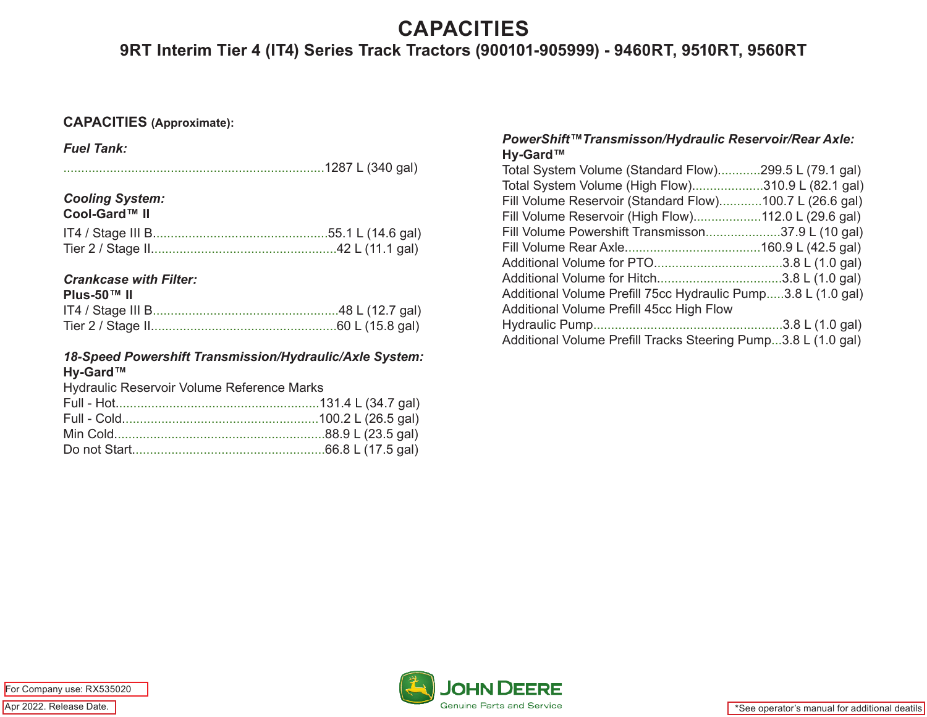## **CAPACITIES**

**9RT Interim Tier 4 (IT4) Series Track Tractors (900101-905999) - 9460RT, 9510RT, 9560RT** 

### **CAPACITIES (Approximate):**

*Fuel Tank:*

#### *Cooling System:* **Cool-Gard™ II**

| ∪ "" II "" UUOI-Garu |  |
|----------------------|--|
|                      |  |

## *Crankcase with Filter:*

### *18-Speed Powershift Transmission/Hydraulic/Axle System:* **Hy-Gard™**

Hydraulic Reservoir Volume Reference Marks

### *PowerShift™Transmisson/Hydraulic Reservoir/Rear Axle:* **Hy-Gard™**

| Total System Volume (Standard Flow)299.5 L (79.1 gal)         |  |
|---------------------------------------------------------------|--|
| Total System Volume (High Flow)310.9 L (82.1 gal)             |  |
| Fill Volume Reservoir (Standard Flow)100.7 L (26.6 gal)       |  |
| Fill Volume Reservoir (High Flow)112.0 L (29.6 gal)           |  |
| Fill Volume Powershift Transmisson37.9 L (10 gal)             |  |
|                                                               |  |
|                                                               |  |
|                                                               |  |
| Additional Volume Prefill 75cc Hydraulic Pump3.8 L (1.0 gal)  |  |
| Additional Volume Prefill 45cc High Flow                      |  |
|                                                               |  |
| Additional Volume Prefill Tracks Steering Pump3.8 L (1.0 gal) |  |

Apr 2022. Release Date. For Company use: RX535020